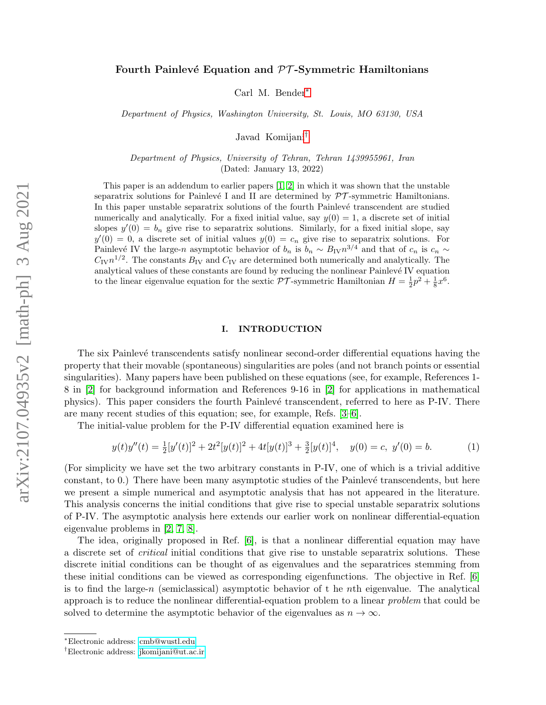# Fourth Painlevé Equation and  $\mathcal{PT}$ -Symmetric Hamiltonians

Carl M. Bender[∗](#page-0-0)

Department of Physics, Washington University, St. Louis, MO 63130, USA

Javad Komijani[†](#page-0-1)

Department of Physics, University of Tehran, Tehran 1439955961, Iran (Dated: January 13, 2022)

This paper is an addendum to earlier papers [\[1,](#page-8-0) [2\]](#page-8-1) in which it was shown that the unstable separatrix solutions for Painlevé I and II are determined by  $\mathcal{PT}$ -symmetric Hamiltonians. In this paper unstable separatrix solutions of the fourth Painlevé transcendent are studied numerically and analytically. For a fixed initial value, say  $y(0) = 1$ , a discrete set of initial slopes  $y'(0) = b_n$  give rise to separatrix solutions. Similarly, for a fixed initial slope, say  $y'(0) = 0$ , a discrete set of initial values  $y(0) = c_n$  give rise to separatrix solutions. For Painlevé IV the large-n asymptotic behavior of  $b_n$  is  $b_n \sim B_{\rm IV} n^{3/4}$  and that of  $c_n$  is  $c_n \sim$  $C_{\rm IV} n^{1/2}$ . The constants  $B_{\rm IV}$  and  $C_{\rm IV}$  are determined both numerically and analytically. The analytical values of these constants are found by reducing the nonlinear Painlevé IV equation to the linear eigenvalue equation for the sextic  $PT$ -symmetric Hamiltonian  $H = \frac{1}{2}p^2 + \frac{1}{8}x^6$ .

# I. INTRODUCTION

The six Painlevé transcendents satisfy nonlinear second-order differential equations having the property that their movable (spontaneous) singularities are poles (and not branch points or essential singularities). Many papers have been published on these equations (see, for example, References 1- 8 in [\[2\]](#page-8-1) for background information and References 9-16 in [\[2\]](#page-8-1) for applications in mathematical physics). This paper considers the fourth Painlevé transcendent, referred to here as P-IV. There are many recent studies of this equation; see, for example, Refs. [\[3–](#page-8-2)[6\]](#page-8-3).

The initial-value problem for the P-IV differential equation examined here is

<span id="page-0-2"></span>
$$
y(t)y''(t) = \frac{1}{2}[y'(t)]^2 + 2t^2[y(t)]^2 + 4t[y(t)]^3 + \frac{3}{2}[y(t)]^4, \quad y(0) = c, \ y'(0) = b.
$$
 (1)

(For simplicity we have set the two arbitrary constants in P-IV, one of which is a trivial additive constant, to  $0.$ ) There have been many asymptotic studies of the Painlevé transcendents, but here we present a simple numerical and asymptotic analysis that has not appeared in the literature. This analysis concerns the initial conditions that give rise to special unstable separatrix solutions of P-IV. The asymptotic analysis here extends our earlier work on nonlinear differential-equation eigenvalue problems in [\[2,](#page-8-1) [7,](#page-8-4) [8\]](#page-8-5).

The idea, originally proposed in Ref. [\[6\]](#page-8-3), is that a nonlinear differential equation may have a discrete set of critical initial conditions that give rise to unstable separatrix solutions. These discrete initial conditions can be thought of as eigenvalues and the separatrices stemming from these initial conditions can be viewed as corresponding eigenfunctions. The objective in Ref. [\[6\]](#page-8-3) is to find the large-n (semiclassical) asymptotic behavior of t he nth eigenvalue. The analytical approach is to reduce the nonlinear differential-equation problem to a linear problem that could be solved to determine the asymptotic behavior of the eigenvalues as  $n \to \infty$ .

<span id="page-0-0"></span><sup>∗</sup>Electronic address: [cmb@wustl.edu](mailto:cmb@wustl.edu)

<span id="page-0-1"></span><sup>†</sup>Electronic address: [jkomijani@ut.ac.ir](mailto:jkomijani@ut.ac.ir)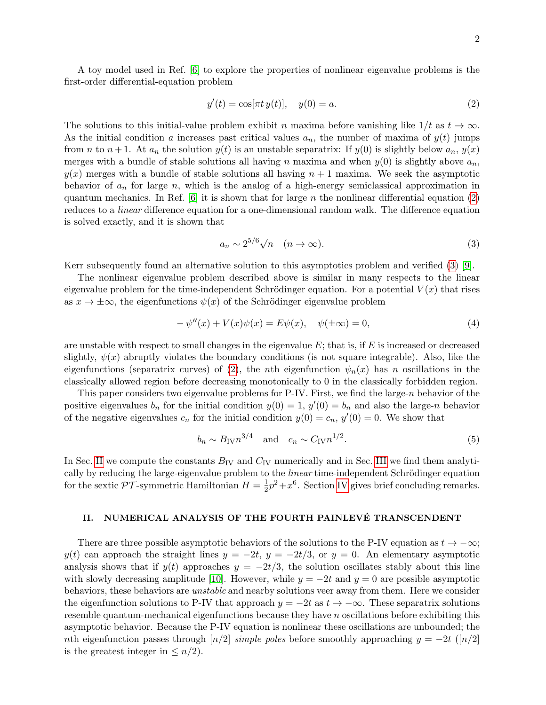A toy model used in Ref. [\[6\]](#page-8-3) to explore the properties of nonlinear eigenvalue problems is the first-order differential-equation problem

<span id="page-1-0"></span>
$$
y'(t) = \cos[\pi t \, y(t)], \quad y(0) = a. \tag{2}
$$

The solutions to this initial-value problem exhibit n maxima before vanishing like  $1/t$  as  $t \to \infty$ . As the initial condition a increases past critical values  $a_n$ , the number of maxima of  $y(t)$  jumps from *n* to  $n + 1$ . At  $a_n$  the solution  $y(t)$  is an unstable separatrix: If  $y(0)$  is slightly below  $a_n$ ,  $y(x)$ merges with a bundle of stable solutions all having n maxima and when  $y(0)$  is slightly above  $a_n$ ,  $y(x)$  merges with a bundle of stable solutions all having  $n + 1$  maxima. We seek the asymptotic behavior of  $a_n$  for large n, which is the analog of a high-energy semiclassical approximation in quantum mechanics. In Ref.  $[6]$  it is shown that for large n the nonlinear differential equation [\(2\)](#page-1-0) reduces to a linear difference equation for a one-dimensional random walk. The difference equation is solved exactly, and it is shown that

<span id="page-1-1"></span>
$$
a_n \sim 2^{5/6} \sqrt{n} \quad (n \to \infty). \tag{3}
$$

Kerr subsequently found an alternative solution to this asymptotics problem and verified [\(3\)](#page-1-1) [\[9\]](#page-8-6).

The nonlinear eigenvalue problem described above is similar in many respects to the linear eigenvalue problem for the time-independent Schrödinger equation. For a potential  $V(x)$  that rises as  $x \to \pm \infty$ , the eigenfunctions  $\psi(x)$  of the Schrödinger eigenvalue problem

$$
-\psi''(x) + V(x)\psi(x) = E\psi(x), \quad \psi(\pm \infty) = 0,
$$
\n(4)

are unstable with respect to small changes in the eigenvalue  $E$ ; that is, if  $E$  is increased or decreased slightly,  $\psi(x)$  abruptly violates the boundary conditions (is not square integrable). Also, like the eigenfunctions (separatrix curves) of [\(2\)](#page-1-0), the *n*th eigenfunction  $\psi_n(x)$  has *n* oscillations in the classically allowed region before decreasing monotonically to 0 in the classically forbidden region.

This paper considers two eigenvalue problems for P-IV. First, we find the large- $n$  behavior of the positive eigenvalues  $b_n$  for the initial condition  $y(0) = 1$ ,  $y'(0) = b_n$  and also the large-n behavior of the negative eigenvalues  $c_n$  for the initial condition  $y(0) = c_n$ ,  $y'(0) = 0$ . We show that

<span id="page-1-3"></span>
$$
b_n \sim B_{\rm IV} n^{3/4} \quad \text{and} \quad c_n \sim C_{\rm IV} n^{1/2}.\tag{5}
$$

In Sec. [II](#page-1-2) we compute the constants  $B_{IV}$  and  $C_{IV}$  numerically and in Sec. [III](#page-5-0) we find them analytically by reducing the large-eigenvalue problem to the *linear* time-independent Schrödinger equation for the sextic  $\mathcal{PT}$ -symmetric Hamiltonian  $H = \frac{1}{2}$  $\frac{1}{2}p^2 + x^6$ . Section [IV](#page-7-0) gives brief concluding remarks.

#### <span id="page-1-2"></span>II. NUMERICAL ANALYSIS OF THE FOURTH PAINLEVÉ TRANSCENDENT

There are three possible asymptotic behaviors of the solutions to the P-IV equation as  $t \to -\infty$ ;  $y(t)$  can approach the straight lines  $y = -2t$ ,  $y = -2t/3$ , or  $y = 0$ . An elementary asymptotic analysis shows that if  $y(t)$  approaches  $y = -2t/3$ , the solution oscillates stably about this line with slowly decreasing amplitude [\[10\]](#page-8-7). However, while  $y = -2t$  and  $y = 0$  are possible asymptotic behaviors, these behaviors are unstable and nearby solutions veer away from them. Here we consider the eigenfunction solutions to P-IV that approach  $y = -2t$  as  $t \to -\infty$ . These separatrix solutions resemble quantum-mechanical eigenfunctions because they have  $n$  oscillations before exhibiting this asymptotic behavior. Because the P-IV equation is nonlinear these oscillations are unbounded; the nth eigenfunction passes through  $[n/2]$  simple poles before smoothly approaching  $y = -2t$  ( $[n/2]$ ) is the greatest integer in  $\leq n/2$ .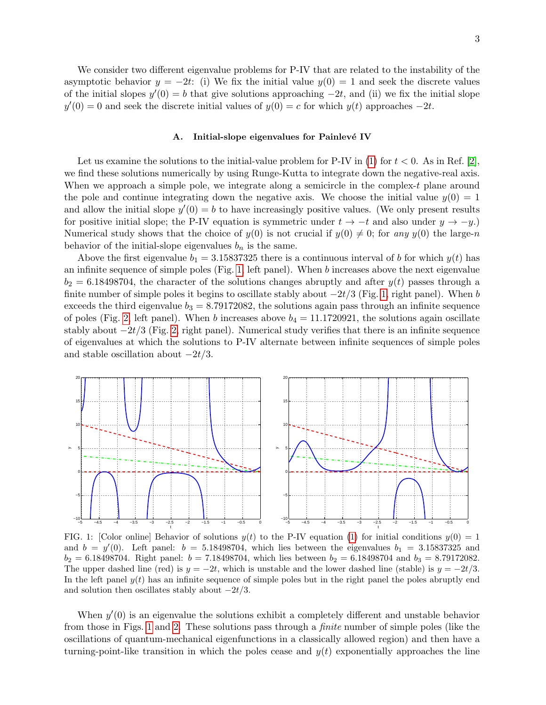We consider two different eigenvalue problems for P-IV that are related to the instability of the asymptotic behavior  $y = -2t$ : (i) We fix the initial value  $y(0) = 1$  and seek the discrete values of the initial slopes  $y'(0) = b$  that give solutions approaching  $-2t$ , and (ii) we fix the initial slope  $y'(0) = 0$  and seek the discrete initial values of  $y(0) = c$  for which  $y(t)$  approaches  $-2t$ .

### A. Initial-slope eigenvalues for Painlevé IV

Let us examine the solutions to the initial-value problem for P-IV in [\(1\)](#page-0-2) for  $t < 0$ . As in Ref. [\[2\]](#page-8-1), we find these solutions numerically by using Runge-Kutta to integrate down the negative-real axis. When we approach a simple pole, we integrate along a semicircle in the complex- $t$  plane around the pole and continue integrating down the negative axis. We choose the initial value  $y(0) = 1$ and allow the initial slope  $y'(0) = b$  to have increasingly positive values. (We only present results for positive initial slope; the P-IV equation is symmetric under  $t \to -t$  and also under  $y \to -y$ .) Numerical study shows that the choice of  $y(0)$  is not crucial if  $y(0) \neq 0$ ; for any  $y(0)$  the large-n behavior of the initial-slope eigenvalues  $b_n$  is the same.

Above the first eigenvalue  $b_1 = 3.15837325$  there is a continuous interval of b for which  $y(t)$  has an infinite sequence of simple poles (Fig. [1,](#page-2-0) left panel). When b increases above the next eigenvalue  $b_2 = 6.18498704$ , the character of the solutions changes abruptly and after  $y(t)$  passes through a finite number of simple poles it begins to oscillate stably about  $-2t/3$  (Fig. [1,](#page-2-0) right panel). When b exceeds the third eigenvalue  $b_3 = 8.79172082$ , the solutions again pass through an infinite sequence of poles (Fig. [2,](#page-3-0) left panel). When b increases above  $b_4 = 11.1720921$ , the solutions again oscillate stably about  $-2t/3$  (Fig. [2,](#page-3-0) right panel). Numerical study verifies that there is an infinite sequence of eigenvalues at which the solutions to P-IV alternate between infinite sequences of simple poles and stable oscillation about  $-2t/3$ .



<span id="page-2-0"></span>FIG. 1: [Color online] Behavior of solutions  $y(t)$  to the P-IV equation [\(1\)](#page-0-2) for initial conditions  $y(0) = 1$ and  $b = y'(0)$ . Left panel:  $b = 5.18498704$ , which lies between the eigenvalues  $b_1 = 3.15837325$  and  $b_2 = 6.18498704$ . Right panel:  $b = 7.18498704$ , which lies between  $b_2 = 6.18498704$  and  $b_3 = 8.79172082$ . The upper dashed line (red) is  $y = -2t$ , which is unstable and the lower dashed line (stable) is  $y = -2t/3$ . In the left panel  $y(t)$  has an infinite sequence of simple poles but in the right panel the poles abruptly end and solution then oscillates stably about  $-2t/3$ .

When  $y'(0)$  is an eigenvalue the solutions exhibit a completely different and unstable behavior from those in Figs. [1](#page-2-0) and [2.](#page-3-0) These solutions pass through a finite number of simple poles (like the oscillations of quantum-mechanical eigenfunctions in a classically allowed region) and then have a turning-point-like transition in which the poles cease and  $y(t)$  exponentially approaches the line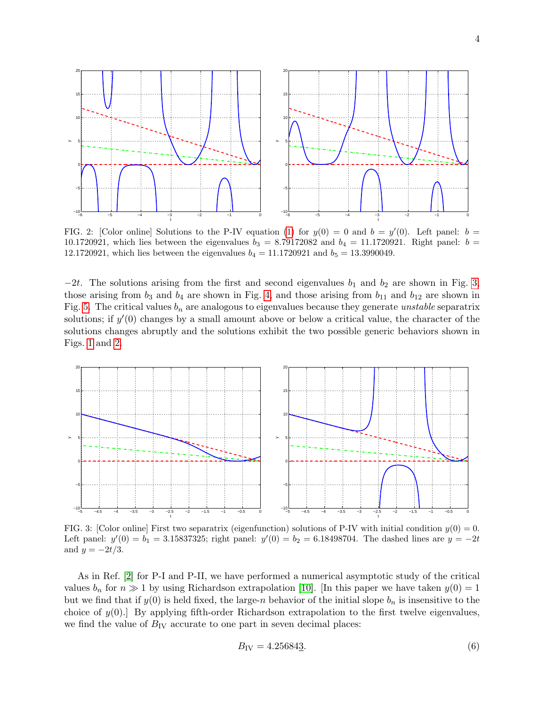

<span id="page-3-0"></span>FIG. 2: [Color online] Solutions to the P-IV equation [\(1\)](#page-0-2) for  $y(0) = 0$  and  $b = y'(0)$ . Left panel:  $b =$ 10.1720921, which lies between the eigenvalues  $b_3 = 8.79172082$  and  $b_4 = 11.1720921$ . Right panel:  $b =$ 12.1720921, which lies between the eigenvalues  $b_4 = 11.1720921$  and  $b_5 = 13.3990049$ .

 $-2t$ . The solutions arising from the first and second eigenvalues  $b_1$  and  $b_2$  are shown in Fig. [3,](#page-3-1) those arising from  $b_3$  and  $b_4$  are shown in Fig. [4,](#page-4-0) and those arising from  $b_{11}$  and  $b_{12}$  are shown in Fig. [5.](#page-4-1) The critical values  $b_n$  are analogous to eigenvalues because they generate *unstable* separatrix solutions; if  $y'(0)$  changes by a small amount above or below a critical value, the character of the solutions changes abruptly and the solutions exhibit the two possible generic behaviors shown in Figs. [1](#page-2-0) and [2.](#page-3-0)



<span id="page-3-1"></span>FIG. 3: [Color online] First two separatrix (eigenfunction) solutions of P-IV with initial condition  $y(0) = 0$ . Left panel:  $y'(0) = b_1 = 3.15837325$ ; right panel:  $y'(0) = b_2 = 6.18498704$ . The dashed lines are  $y = -2t$ and  $y = -2t/3$ .

<span id="page-3-2"></span>As in Ref. [\[2\]](#page-8-1) for P-I and P-II, we have performed a numerical asymptotic study of the critical values  $b_n$  for  $n \gg 1$  by using Richardson extrapolation [\[10\]](#page-8-7). [In this paper we have taken  $y(0) = 1$ but we find that if  $y(0)$  is held fixed, the large-n behavior of the initial slope  $b_n$  is insensitive to the choice of  $y(0)$ . By applying fifth-order Richardson extrapolation to the first twelve eigenvalues, we find the value of  $B_{IV}$  accurate to one part in seven decimal places: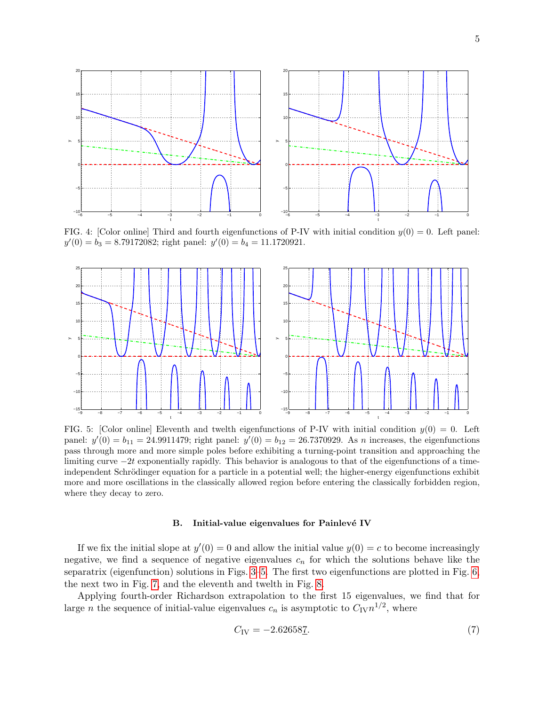

<span id="page-4-0"></span>FIG. 4: [Color online] Third and fourth eigenfunctions of P-IV with initial condition  $y(0) = 0$ . Left panel:  $y'(0) = b_3 = 8.79172082$ ; right panel:  $y'(0) = b_4 = 11.1720921$ .



<span id="page-4-1"></span>FIG. 5: [Color online] Eleventh and twelth eigenfunctions of P-IV with initial condition  $y(0) = 0$ . Left panel:  $y'(0) = b_{11} = 24.9911479$ ; right panel:  $y'(0) = b_{12} = 26.7370929$ . As *n* increases, the eigenfunctions pass through more and more simple poles before exhibiting a turning-point transition and approaching the limiting curve  $-2t$  exponentially rapidly. This behavior is analogous to that of the eigenfunctions of a timeindependent Schrödinger equation for a particle in a potential well; the higher-energy eigenfunctions exhibit more and more oscillations in the classically allowed region before entering the classically forbidden region, where they decay to zero.

#### B. Initial-value eigenvalues for Painlevé IV

If we fix the initial slope at  $y'(0) = 0$  and allow the initial value  $y(0) = c$  to become increasingly negative, we find a sequence of negative eigenvalues  $c_n$  for which the solutions behave like the separatrix (eigenfunction) solutions in Figs. [3–](#page-3-1)[5.](#page-4-1) The first two eigenfunctions are plotted in Fig. [6,](#page-5-1) the next two in Fig. [7,](#page-5-2) and the eleventh and twelth in Fig. [8.](#page-6-0)

Applying fourth-order Richardson extrapolation to the first 15 eigenvalues, we find that for large *n* the sequence of initial-value eigenvalues  $c_n$  is asymptotic to  $C_{\text{IV}}n^{1/2}$ , where

<span id="page-4-2"></span>
$$
C_{\rm IV} = -2.626587.\t(7)
$$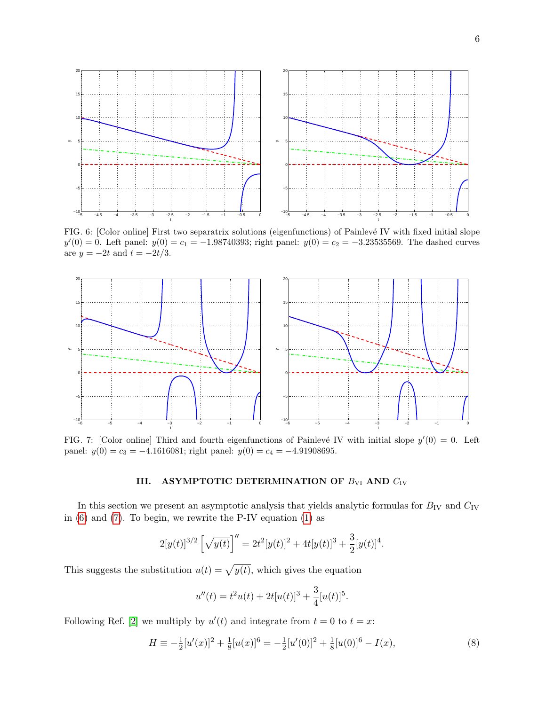

<span id="page-5-1"></span>FIG. 6: [Color online] First two separatrix solutions (eigenfunctions) of Painlevé IV with fixed initial slope  $y'(0) = 0$ . Left panel:  $y(0) = c_1 = -1.98740393$ ; right panel:  $y(0) = c_2 = -3.23535569$ . The dashed curves are  $y = -2t$  and  $t = -2t/3$ .



<span id="page-5-2"></span>FIG. 7: [Color online] Third and fourth eigenfunctions of Painlevé IV with initial slope  $y'(0) = 0$ . Left panel:  $y(0) = c_3 = -4.1616081$ ; right panel:  $y(0) = c_4 = -4.91908695$ .

# <span id="page-5-0"></span>III. ASYMPTOTIC DETERMINATION OF  $B_{VI}$  AND  $C_{IV}$

In this section we present an asymptotic analysis that yields analytic formulas for  $B_{IV}$  and  $C_{IV}$ in [\(6\)](#page-3-2) and [\(7\)](#page-4-2). To begin, we rewrite the P-IV equation [\(1\)](#page-0-2) as

$$
2[y(t)]^{3/2} \left[ \sqrt{y(t)} \right]'' = 2t^2 [y(t)]^2 + 4t[y(t)]^3 + \frac{3}{2} [y(t)]^4.
$$

This suggests the substitution  $u(t) = \sqrt{y(t)}$ , which gives the equation

$$
u''(t) = t2u(t) + 2t[u(t)]3 + \frac{3}{4}[u(t)]5.
$$

Following Ref. [\[2\]](#page-8-1) we multiply by  $u'(t)$  and integrate from  $t = 0$  to  $t = x$ :

<span id="page-5-3"></span>
$$
H \equiv -\frac{1}{2}[u'(x)]^2 + \frac{1}{8}[u(x)]^6 = -\frac{1}{2}[u'(0)]^2 + \frac{1}{8}[u(0)]^6 - I(x),\tag{8}
$$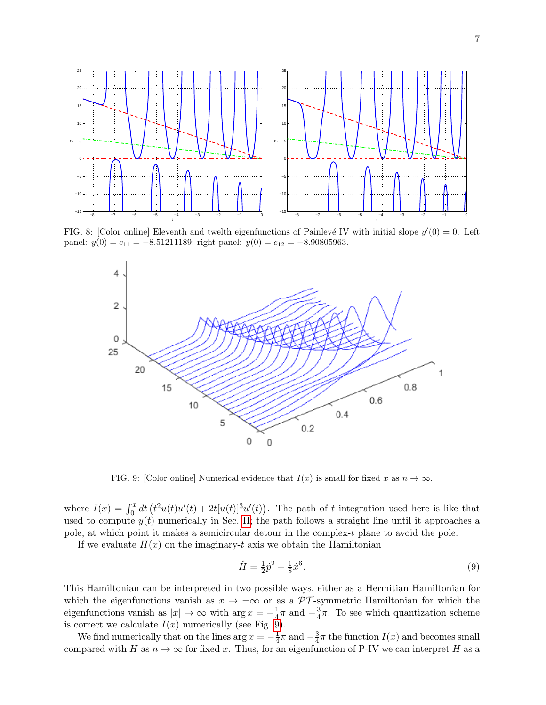

FIG. 8: [Color online] Eleventh and twelth eigenfunctions of Painlevé IV with initial slope  $y'(0) = 0$ . Left panel:  $y(0) = c_{11} = -8.51211189$ ; right panel:  $y(0) = c_{12} = -8.90805963$ .

<span id="page-6-0"></span>

<span id="page-6-1"></span>FIG. 9: [Color online] Numerical evidence that  $I(x)$  is small for fixed x as  $n \to \infty$ .

where  $I(x) = \int_0^x dt (t^2u(t)u'(t) + 2t[u(t)]^3u'(t))$ . The path of t integration used here is like that used to compute  $y(t)$  numerically in Sec. [II;](#page-1-2) the path follows a straight line until it approaches a pole, at which point it makes a semicircular detour in the complex-t plane to avoid the pole.

If we evaluate  $H(x)$  on the imaginary-t axis we obtain the Hamiltonian

<span id="page-6-2"></span>
$$
\hat{H} = \frac{1}{2}\hat{p}^2 + \frac{1}{8}\hat{x}^6.
$$
\n(9)

This Hamiltonian can be interpreted in two possible ways, either as a Hermitian Hamiltonian for which the eigenfunctions vanish as  $x \to \pm \infty$  or as a PT-symmetric Hamiltonian for which the eigenfunctions vanish as  $|x| \to \infty$  with  $\arg x = -\frac{1}{4}$  $\frac{1}{4}\pi$  and  $-\frac{3}{4}$  $\frac{3}{4}\pi$ . To see which quantization scheme is correct we calculate  $I(x)$  numerically (see Fig. [9\)](#page-6-1).

We find numerically that on the lines arg  $x = -\frac{1}{4}$  $\frac{1}{4}\pi$  and  $-\frac{3}{4}$  $\frac{3}{4}\pi$  the function  $I(x)$  and becomes small compared with H as  $n \to \infty$  for fixed x. Thus, for an eigenfunction of P-IV we can interpret H as a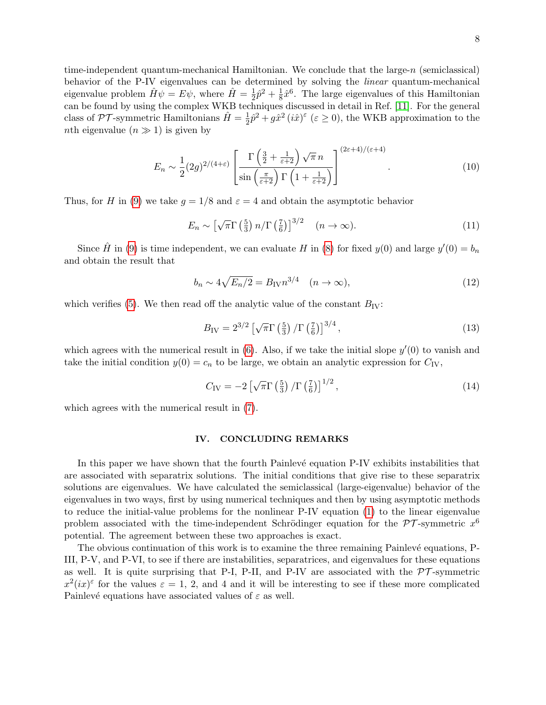time-independent quantum-mechanical Hamiltonian. We conclude that the large-n (semiclassical) behavior of the P-IV eigenvalues can be determined by solving the linear quantum-mechanical eigenvalue problem  $\hat{H}\psi = E\psi$ , where  $\hat{H} = \frac{1}{2}$  $\frac{1}{2}\hat{p}^2 + \frac{1}{8}$  $\frac{1}{8}\hat{x}^6$ . The large eigenvalues of this Hamiltonian can be found by using the complex WKB techniques discussed in detail in Ref. [\[11\]](#page-8-8). For the general class of  $\mathcal{PT}$ -symmetric Hamiltonians  $\hat{H} = \frac{1}{2}$  $\frac{1}{2}\hat{p}^2 + g\hat{x}^2$   $(i\hat{x})^{\varepsilon}$   $(\varepsilon \ge 0)$ , the WKB approximation to the *nth* eigenvalue  $(n \gg 1)$  is given by

$$
E_n \sim \frac{1}{2} (2g)^{2/(4+\varepsilon)} \left[ \frac{\Gamma\left(\frac{3}{2} + \frac{1}{\varepsilon+2}\right) \sqrt{\pi} n}{\sin\left(\frac{\pi}{\varepsilon+2}\right) \Gamma\left(1 + \frac{1}{\varepsilon+2}\right)} \right]^{(2\varepsilon+4)/(\varepsilon+4)}.
$$
 (10)

Thus, for H in [\(9\)](#page-6-2) we take  $g = 1/8$  and  $\varepsilon = 4$  and obtain the asymptotic behavior

$$
E_n \sim \left[\sqrt{\pi}\Gamma\left(\frac{5}{3}\right)n/\Gamma\left(\frac{7}{6}\right)\right]^{3/2} \quad (n \to \infty). \tag{11}
$$

Since  $\hat{H}$  in [\(9\)](#page-6-2) is time independent, we can evaluate H in [\(8\)](#page-5-3) for fixed  $y(0)$  and large  $y'(0) = b_n$ and obtain the result that

$$
b_n \sim 4\sqrt{E_n/2} = B_{\rm IV} n^{3/4} \quad (n \to \infty),\tag{12}
$$

which verifies [\(5\)](#page-1-3). We then read off the analytic value of the constant  $B_{\rm IV}$ :

$$
B_{\rm IV} = 2^{3/2} \left[ \sqrt{\pi} \Gamma \left( \frac{5}{3} \right) / \Gamma \left( \frac{7}{6} \right) \right]^{3/4}, \tag{13}
$$

which agrees with the numerical result in  $(6)$ . Also, if we take the initial slope  $y'(0)$  to vanish and take the initial condition  $y(0) = c_n$  to be large, we obtain an analytic expression for  $C_{\text{IV}}$ ,

$$
C_{\rm IV} = -2\left[\sqrt{\pi}\Gamma\left(\frac{5}{3}\right)/\Gamma\left(\frac{7}{6}\right)\right]^{1/2},\tag{14}
$$

which agrees with the numerical result in [\(7\)](#page-4-2).

## <span id="page-7-0"></span>IV. CONCLUDING REMARKS

In this paper we have shown that the fourth Painlevé equation P-IV exhibits instabilities that are associated with separatrix solutions. The initial conditions that give rise to these separatrix solutions are eigenvalues. We have calculated the semiclassical (large-eigenvalue) behavior of the eigenvalues in two ways, first by using numerical techniques and then by using asymptotic methods to reduce the initial-value problems for the nonlinear P-IV equation [\(1\)](#page-0-2) to the linear eigenvalue problem associated with the time-independent Schrödinger equation for the  $\mathcal{PT}$ -symmetric  $x^6$ potential. The agreement between these two approaches is exact.

The obvious continuation of this work is to examine the three remaining Painlevé equations, P-III, P-V, and P-VI, to see if there are instabilities, separatrices, and eigenvalues for these equations as well. It is quite surprising that P-I, P-II, and P-IV are associated with the  $\mathcal{PT}$ -symmetric  $x^2(ix)^{\epsilon}$  for the values  $\epsilon = 1, 2$ , and 4 and it will be interesting to see if these more complicated Painlevé equations have associated values of  $\varepsilon$  as well.